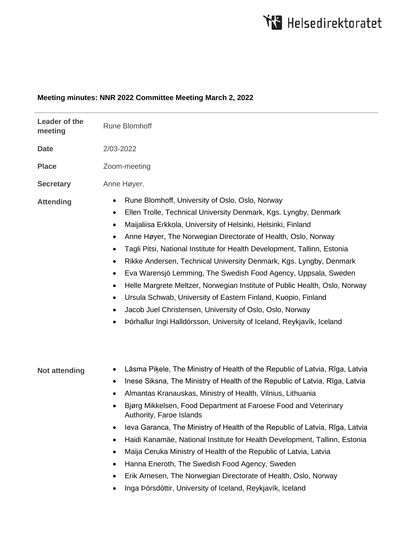# **Meeting minutes: NNR 2022 Committee Meeting March 2, 2022**

| Leader of the<br>meeting | <b>Rune Blomhoff</b>                                                                                                                                                                                                                                                                                                                                                                                                                                                                                                                                                                                                                                                                                                                                                                                                                                                                         |
|--------------------------|----------------------------------------------------------------------------------------------------------------------------------------------------------------------------------------------------------------------------------------------------------------------------------------------------------------------------------------------------------------------------------------------------------------------------------------------------------------------------------------------------------------------------------------------------------------------------------------------------------------------------------------------------------------------------------------------------------------------------------------------------------------------------------------------------------------------------------------------------------------------------------------------|
| <b>Date</b>              | 2/03-2022                                                                                                                                                                                                                                                                                                                                                                                                                                                                                                                                                                                                                                                                                                                                                                                                                                                                                    |
| <b>Place</b>             | Zoom-meeting                                                                                                                                                                                                                                                                                                                                                                                                                                                                                                                                                                                                                                                                                                                                                                                                                                                                                 |
| <b>Secretary</b>         | Anne Høyer.                                                                                                                                                                                                                                                                                                                                                                                                                                                                                                                                                                                                                                                                                                                                                                                                                                                                                  |
| <b>Attending</b>         | Rune Blomhoff, University of Oslo, Oslo, Norway<br>$\bullet$<br>Ellen Trolle, Technical University Denmark, Kgs. Lyngby, Denmark<br>$\bullet$<br>Maijaliisa Erkkola, University of Helsinki, Helsinki, Finland<br>$\bullet$<br>Anne Høyer, The Norwegian Directorate of Health, Oslo, Norway<br>٠<br>Tagli Pitsi, National Institute for Health Development, Tallinn, Estonia<br>٠<br>Rikke Andersen, Technical University Denmark, Kgs. Lyngby, Denmark<br>$\bullet$<br>Eva Warensjö Lemming, The Swedish Food Agency, Uppsala, Sweden<br>$\bullet$<br>Helle Margrete Meltzer, Norwegian Institute of Public Health, Oslo, Norway<br>$\bullet$<br>Ursula Schwab, University of Eastern Finland, Kuopio, Finland<br>$\bullet$<br>Jacob Juel Christensen, University of Oslo, Oslo, Norway<br>$\bullet$<br>Þórhallur Ingi Halldórsson, University of Iceland, Reykjavík, Iceland<br>$\bullet$ |
| <b>Not attending</b>     | Lāsma Piķele, The Ministry of Health of the Republic of Latvia, Rīga, Latvia<br>٠<br>Inese Siksna, The Ministry of Health of the Republic of Latvia, Rīga, Latvia<br>٠<br>Almantas Kranauskas, Ministry of Health, Vilnius, Lithuania<br>٠<br>Bjørg Mikkelsen, Food Department at Faroese Food and Veterinary<br>٠<br>Authority, Faroe Islands<br>leva Garanca, The Ministry of Health of the Republic of Latvia, Rīga, Latvia<br>٠<br>Haidi Kanamäe, National Institute for Health Development, Tallinn, Estonia<br>٠<br>Maija Ceruka Ministry of Health of the Republic of Latvia, Latvia<br>٠<br>Hanna Eneroth, The Swedish Food Agency, Sweden<br>$\bullet$<br>Erik Arnesen, The Norwegian Directorate of Health, Oslo, Norway<br>$\bullet$<br>Inga Þórsdóttir, University of Iceland, Reykjavík, Iceland                                                                                |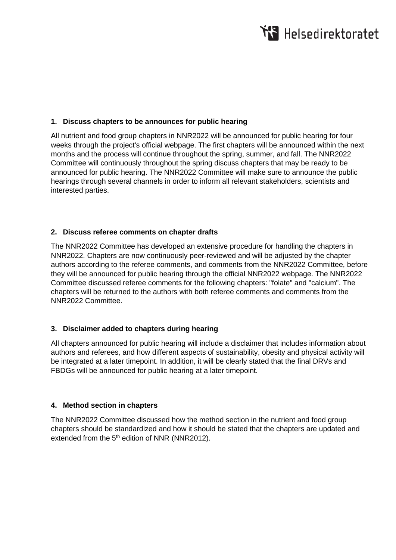### **1. Discuss chapters to be announces for public hearing**

All nutrient and food group chapters in NNR2022 will be announced for public hearing for four weeks through the project's official webpage. The first chapters will be announced within the next months and the process will continue throughout the spring, summer, and fall. The NNR2022 Committee will continuously throughout the spring discuss chapters that may be ready to be announced for public hearing. The NNR2022 Committee will make sure to announce the public hearings through several channels in order to inform all relevant stakeholders, scientists and interested parties.

### **2. Discuss referee comments on chapter drafts**

The NNR2022 Committee has developed an extensive procedure for handling the chapters in NNR2022. Chapters are now continuously peer-reviewed and will be adjusted by the chapter authors according to the referee comments, and comments from the NNR2022 Committee, before they will be announced for public hearing through the official NNR2022 webpage. The NNR2022 Committee discussed referee comments for the following chapters: "folate" and "calcium". The chapters will be returned to the authors with both referee comments and comments from the NNR2022 Committee.

## **3. Disclaimer added to chapters during hearing**

All chapters announced for public hearing will include a disclaimer that includes information about authors and referees, and how different aspects of sustainability, obesity and physical activity will be integrated at a later timepoint. In addition, it will be clearly stated that the final DRVs and FBDGs will be announced for public hearing at a later timepoint.

#### **4. Method section in chapters**

The NNR2022 Committee discussed how the method section in the nutrient and food group chapters should be standardized and how it should be stated that the chapters are updated and extended from the  $5<sup>th</sup>$  edition of NNR (NNR2012).